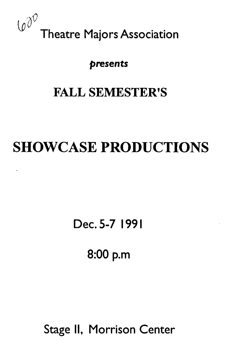

## presents

# FALL SEMESTER'S

# SHOWCASE PRODUCTIONS

Dec. 5-7 1991

8:00 p.m

Stage II, Morrison Center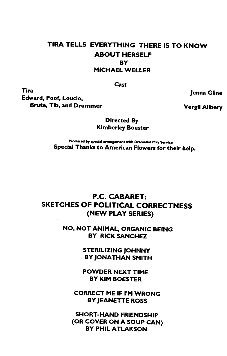## TIRA TELLS EVERYTHING THERE IS TO KNOW ABOUT HERSELF BY MICHAEL WELLER

Cast

Tira Edward, Poof, Loucio, Brute, Tib, and Drummer

Jenna Gline

Vergil Allbery

Directed By Kimberley Boester

Produced by special arrangement with Dramatist Play Service Special Thanks to American Flowers for their help.

### P.C. CABARET: SKETCHES OF POLITICAL CORRECTNESS (NEW PLAY SERIES)

NO, NOT ANIMAL, ORGANIC BEING BY RICK SANCHEZ

> STERILIZING JOHNNY BY JONATHAN SMITH

POWDER NEXT TIME BY KIM BOESTER

CORRECT ME IF I'M WRONG BY JEANETTE ROSS

SHORT-HAND FRIENDSHIP (OR COVER ON A SOUP CAN) BY PHIL ATLAKSON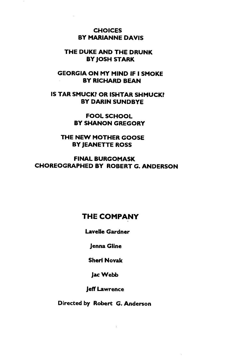#### CHOICES BY MARIANNE DAVIS

#### THE DUKE AND THE DRUNK BY JOSH STARK

GEORGIA ON MY MIND IF I SMOKE BY RICHARD BEAN

IS TAR SMUCK? OR ISHTAR SHMUCK? BY DARIN SUNDBYE

> FOOL SCHOOL BY SHANON GREGORY

THE NEW MOTHER GOOSE BY JEANETTE ROSS

FINAL BURGOMASK CHOREOGRAPHED BY ROBERT G. ANDERSON

## THE COMPANY

Lavelle Gardner

Jenna Gline

Sheri Novak

JacWebb

Jeff Lawrence

Directed by Robert G. Anderson